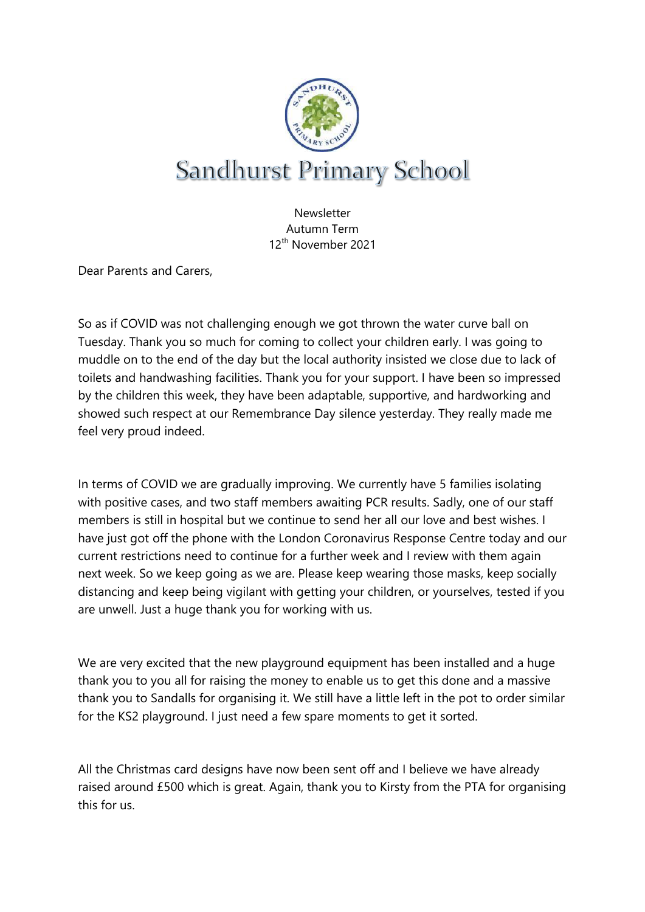

**Newsletter** Autumn Term 12th November 2021

Dear Parents and Carers,

So as if COVID was not challenging enough we got thrown the water curve ball on Tuesday. Thank you so much for coming to collect your children early. I was going to muddle on to the end of the day but the local authority insisted we close due to lack of toilets and handwashing facilities. Thank you for your support. I have been so impressed by the children this week, they have been adaptable, supportive, and hardworking and showed such respect at our Remembrance Day silence yesterday. They really made me feel very proud indeed.

In terms of COVID we are gradually improving. We currently have 5 families isolating with positive cases, and two staff members awaiting PCR results. Sadly, one of our staff members is still in hospital but we continue to send her all our love and best wishes. I have just got off the phone with the London Coronavirus Response Centre today and our current restrictions need to continue for a further week and I review with them again next week. So we keep going as we are. Please keep wearing those masks, keep socially distancing and keep being vigilant with getting your children, or yourselves, tested if you are unwell. Just a huge thank you for working with us.

We are very excited that the new playground equipment has been installed and a huge thank you to you all for raising the money to enable us to get this done and a massive thank you to Sandalls for organising it. We still have a little left in the pot to order similar for the KS2 playground. I just need a few spare moments to get it sorted.

All the Christmas card designs have now been sent off and I believe we have already raised around £500 which is great. Again, thank you to Kirsty from the PTA for organising this for us.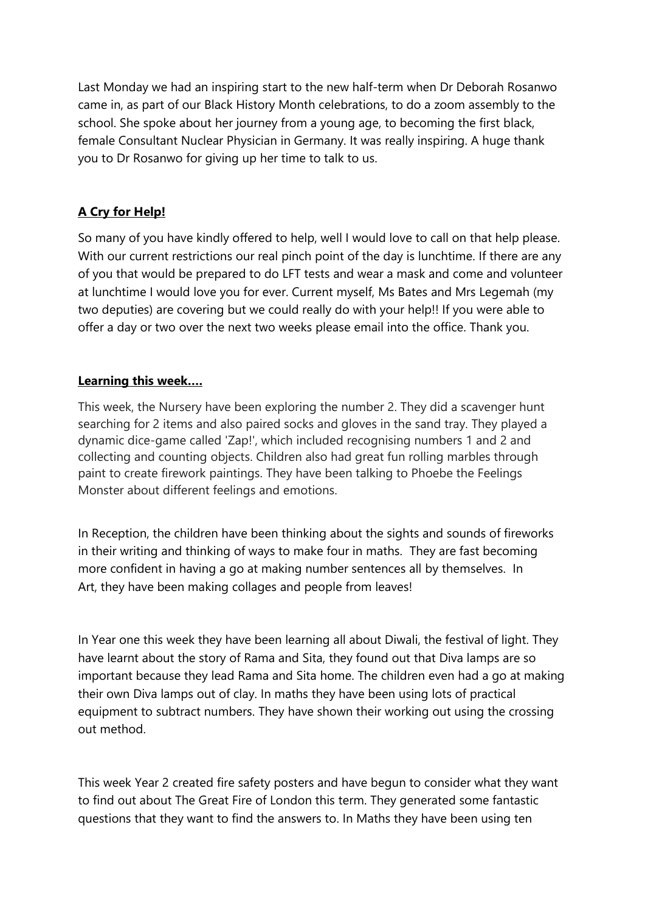Last Monday we had an inspiring start to the new half-term when Dr Deborah Rosanwo came in, as part of our Black History Month celebrations, to do a zoom assembly to the school. She spoke about her journey from a young age, to becoming the first black, female Consultant Nuclear Physician in Germany. It was really inspiring. A huge thank you to Dr Rosanwo for giving up her time to talk to us.

# **A Cry for Help!**

So many of you have kindly offered to help, well I would love to call on that help please. With our current restrictions our real pinch point of the day is lunchtime. If there are any of you that would be prepared to do LFT tests and wear a mask and come and volunteer at lunchtime I would love you for ever. Current myself, Ms Bates and Mrs Legemah (my two deputies) are covering but we could really do with your help!! If you were able to offer a day or two over the next two weeks please email into the office. Thank you.

## **Learning this week….**

This week, the Nursery have been exploring the number 2. They did a scavenger hunt searching for 2 items and also paired socks and gloves in the sand tray. They played a dynamic dice-game called 'Zap!', which included recognising numbers 1 and 2 and collecting and counting objects. Children also had great fun rolling marbles through paint to create firework paintings. They have been talking to Phoebe the Feelings Monster about different feelings and emotions.

In Reception, the children have been thinking about the sights and sounds of fireworks in their writing and thinking of ways to make four in maths. They are fast becoming more confident in having a go at making number sentences all by themselves. In Art, they have been making collages and people from leaves!

In Year one this week they have been learning all about Diwali, the festival of light. They have learnt about the story of Rama and Sita, they found out that Diva lamps are so important because they lead Rama and Sita home. The children even had a go at making their own Diva lamps out of clay. In maths they have been using lots of practical equipment to subtract numbers. They have shown their working out using the crossing out method.

This week Year 2 created fire safety posters and have begun to consider what they want to find out about The Great Fire of London this term. They generated some fantastic questions that they want to find the answers to. In Maths they have been using ten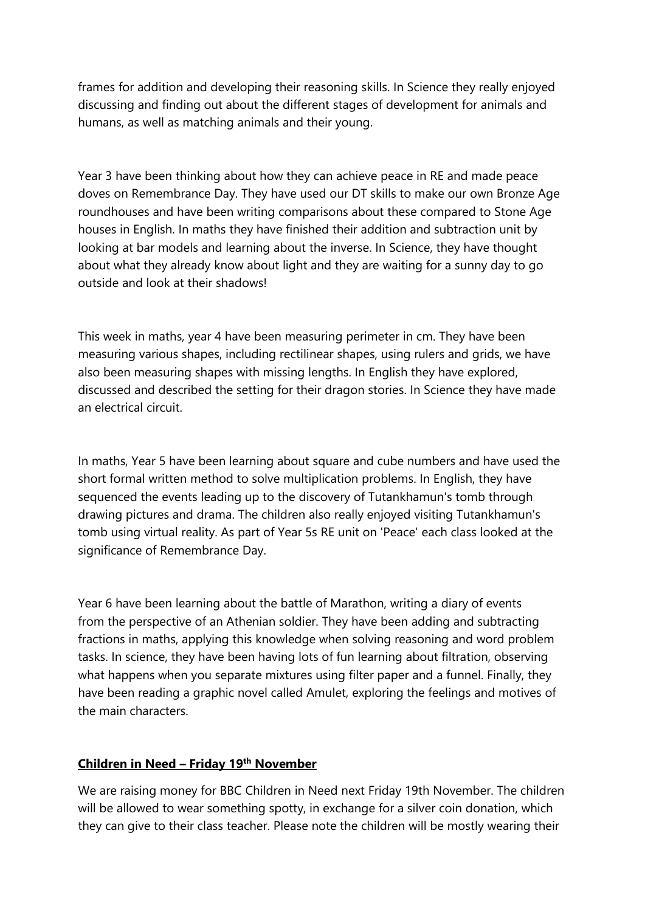frames for addition and developing their reasoning skills. In Science they really enjoyed discussing and finding out about the different stages of development for animals and humans, as well as matching animals and their young.

Year 3 have been thinking about how they can achieve peace in RE and made peace doves on Remembrance Day. They have used our DT skills to make our own Bronze Age roundhouses and have been writing comparisons about these compared to Stone Age houses in English. In maths they have finished their addition and subtraction unit by looking at bar models and learning about the inverse. In Science, they have thought about what they already know about light and they are waiting for a sunny day to go outside and look at their shadows!

This week in maths, year 4 have been measuring perimeter in cm. They have been measuring various shapes, including rectilinear shapes, using rulers and grids, we have also been measuring shapes with missing lengths. In English they have explored, discussed and described the setting for their dragon stories. In Science they have made an electrical circuit.

In maths, Year 5 have been learning about square and cube numbers and have used the short formal written method to solve multiplication problems. In English, they have sequenced the events leading up to the discovery of Tutankhamun's tomb through drawing pictures and drama. The children also really enjoyed visiting Tutankhamun's tomb using virtual reality. As part of Year 5s RE unit on 'Peace' each class looked at the significance of Remembrance Day.

Year 6 have been learning about the battle of Marathon, writing a diary of events from the perspective of an Athenian soldier. They have been adding and subtracting fractions in maths, applying this knowledge when solving reasoning and word problem tasks. In science, they have been having lots of fun learning about filtration, observing what happens when you separate mixtures using filter paper and a funnel. Finally, they have been reading a graphic novel called Amulet, exploring the feelings and motives of the main characters.

### **Children in Need – Friday 19th November**

We are raising money for BBC Children in Need next Friday 19th November. The children will be allowed to wear something spotty, in exchange for a silver coin donation, which they can give to their class teacher. Please note the children will be mostly wearing their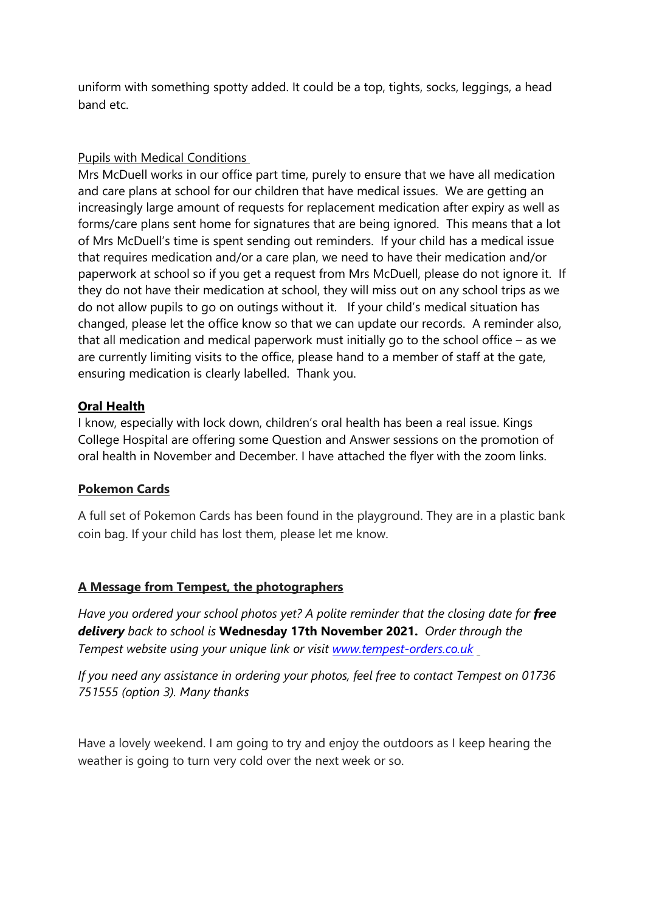uniform with something spotty added. It could be a top, tights, socks, leggings, a head hand etc.

#### Pupils with Medical Conditions

Mrs McDuell works in our office part time, purely to ensure that we have all medication and care plans at school for our children that have medical issues. We are getting an increasingly large amount of requests for replacement medication after expiry as well as forms/care plans sent home for signatures that are being ignored. This means that a lot of Mrs McDuell's time is spent sending out reminders. If your child has a medical issue that requires medication and/or a care plan, we need to have their medication and/or paperwork at school so if you get a request from Mrs McDuell, please do not ignore it. If they do not have their medication at school, they will miss out on any school trips as we do not allow pupils to go on outings without it. If your child's medical situation has changed, please let the office know so that we can update our records. A reminder also, that all medication and medical paperwork must initially go to the school office – as we are currently limiting visits to the office, please hand to a member of staff at the gate, ensuring medication is clearly labelled. Thank you.

#### **Oral Health**

I know, especially with lock down, children's oral health has been a real issue. Kings College Hospital are offering some Question and Answer sessions on the promotion of oral health in November and December. I have attached the flyer with the zoom links.

#### **Pokemon Cards**

A full set of Pokemon Cards has been found in the playground. They are in a plastic bank coin bag. If your child has lost them, please let me know.

### **A Message from Tempest, the photographers**

*Have you ordered your school photos yet? A polite reminder that the closing date for free delivery back to school is* **Wednesday 17th November 2021.** *Order through the Tempest website using your unique link or visit [www.tempest-orders.co.uk](http://www.tempest-orders.co.uk/)*

*If you need any assistance in ordering your photos, feel free to contact Tempest on 01736 751555 (option 3). Many thanks*

Have a lovely weekend. I am going to try and enjoy the outdoors as I keep hearing the weather is going to turn very cold over the next week or so.